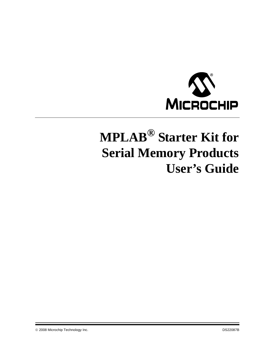

# **MPLAB® Starter Kit for Serial Memory Products User's Guide**

© 2008 Microchip Technology Inc. DS22087B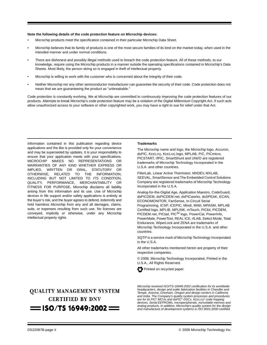#### **Note the following details of the code protection feature on Microchip devices:**

- Microchip products meet the specification contained in their particular Microchip Data Sheet.
- Microchip believes that its family of products is one of the most secure families of its kind on the market today, when used in the intended manner and under normal conditions.
- There are dishonest and possibly illegal methods used to breach the code protection feature. All of these methods, to our knowledge, require using the Microchip products in a manner outside the operating specifications contained in Microchip's Data Sheets. Most likely, the person doing so is engaged in theft of intellectual property.
- Microchip is willing to work with the customer who is concerned about the integrity of their code.
- Neither Microchip nor any other semiconductor manufacturer can guarantee the security of their code. Code protection does not mean that we are guaranteeing the product as "unbreakable."

Code protection is constantly evolving. We at Microchip are committed to continuously improving the code protection features of our products. Attempts to break Microchip's code protection feature may be a violation of the Digital Millennium Copyright Act. If such acts allow unauthorized access to your software or other copyrighted work, you may have a right to sue for relief under that Act.

Information contained in this publication regarding device applications and the like is provided only for your convenience and may be superseded by updates. It is your responsibility to ensure that your application meets with your specifications. MICROCHIP MAKES NO REPRESENTATIONS OR WARRANTIES OF ANY KIND WHETHER EXPRESS OR IMPLIED, WRITTEN OR ORAL, STATUTORY OR OTHERWISE, RELATED TO THE INFORMATION, INCLUDING BUT NOT LIMITED TO ITS CONDITION, QUALITY, PERFORMANCE, MERCHANTABILITY OR FITNESS FOR PURPOSE**.** Microchip disclaims all liability arising from this information and its use. Use of Microchip devices in life support and/or safety applications is entirely at the buyer's risk, and the buyer agrees to defend, indemnify and hold harmless Microchip from any and all damages, claims, suits, or expenses resulting from such use. No licenses are conveyed, implicitly or otherwise, under any Microchip intellectual property rights.

# **QUALITY MANAGEMENT SYSTEM CERTIFIED BY DNV**  $=$  ISO/TS 16949:2002  $=$

#### **Trademarks**

The Microchip name and logo, the Microchip logo, Accuron, dsPIC, KEELOQ, KEELOQ logo, MPLAB, PIC, PICmicro, PICSTART, rfPIC, SmartShunt and UNI/O are registered trademarks of Microchip Technology Incorporated in the U.S.A. and other countries.

FilterLab, Linear Active Thermistor, MXDEV, MXLAB, SEEVAL, SmartSensor and The Embedded Control Solutions Company are registered trademarks of Microchip Technology Incorporated in the U.S.A.

Analog-for-the-Digital Age, Application Maestro, CodeGuard, dsPICDEM, dsPICDEM.net, dsPICworks, dsSPEAK, ECAN, ECONOMONITOR, FanSense, In-Circuit Serial Programming, ICSP, ICEPIC, Mindi, MiWi, MPASM, MPLAB Certified logo, MPLIB, MPLINK, mTouch, PICkit, PICDEM, PICDEM.net, PICtail, PIC<sup>32</sup> logo, PowerCal, PowerInfo, PowerMate, PowerTool, REAL ICE, rfLAB, Select Mode, Total Endurance, WiperLock and ZENA are trademarks of Microchip Technology Incorporated in the U.S.A. and other countries.

SQTP is a service mark of Microchip Technology Incorporated in the U.S.A.

All other trademarks mentioned herein are property of their respective companies.

© 2008, Microchip Technology Incorporated, Printed in the U.S.A., All Rights Reserved.



*Microchip received ISO/TS-16949:2002 certification for its worldwide headquarters, design and wafer fabrication facilities in Chandler and Tempe, Arizona; Gresham, Oregon and design centers in California and India. The Company's quality system processes and procedures are for its PIC® MCUs and dsPIC® DSCs, KEELOQ® code hopping devices, Serial EEPROMs, microperipherals, nonvolatile memory and analog products. In addition, Microchip's quality system for the design and manufacture of development systems is ISO 9001:2000 certified.*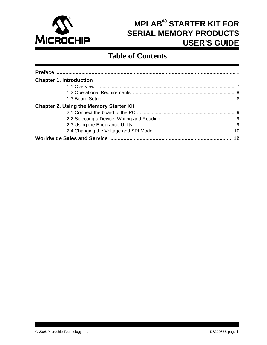

# **Table of Contents**

| <b>Chapter 1. Introduction</b>                 |  |
|------------------------------------------------|--|
|                                                |  |
|                                                |  |
|                                                |  |
| <b>Chapter 2. Using the Memory Starter Kit</b> |  |
|                                                |  |
|                                                |  |
|                                                |  |
|                                                |  |
|                                                |  |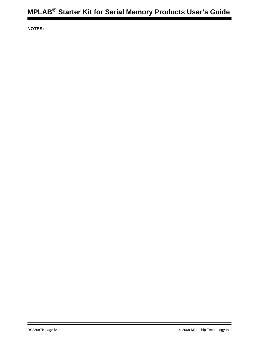**NOTES:**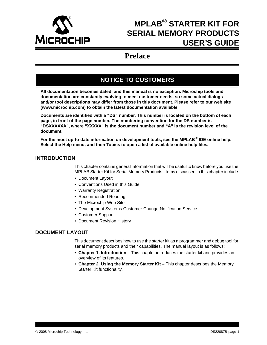<span id="page-4-0"></span>

# **Preface**

# **NOTICE TO CUSTOMERS**

**All documentation becomes dated, and this manual is no exception. Microchip tools and documentation are constantly evolving to meet customer needs, so some actual dialogs and/or tool descriptions may differ from those in this document. Please refer to our web site (www.microchip.com) to obtain the latest documentation available.**

**Documents are identified with a "DS" number. This number is located on the bottom of each page, in front of the page number. The numbering convention for the DS number is "DSXXXXXA", where "XXXXX" is the document number and "A" is the revision level of the document.**

**For the most up-to-date information on development tools, see the MPLAB® IDE online help. Select the Help menu, and then Topics to open a list of available online help files.**

# **INTRODUCTION**

This chapter contains general information that will be useful to know before you use the MPLAB Starter Kit for Serial Memory Products. Items discussed in this chapter include:

- • [Document Layout](#page-4-1)
- • [Conventions Used in this Guide](#page-5-0)
- • [Warranty Registration](#page-5-1)
- • [Recommended Reading](#page-6-0)
- • [The Microchip Web Site](#page-6-1)
- • [Development Systems Customer Change Notification Service](#page-6-2)
- • [Customer Support](#page-8-0)
- • [Document Revision History](#page-8-1)

# <span id="page-4-1"></span>**DOCUMENT LAYOUT**

This document describes how to use the starter kit as a programmer and debug tool for serial memory products and their capabilities. The manual layout is as follows:

- **• [Chapter 1. Introduction](#page-10-2)** This chapter introduces the starter kit and provides an overview of its features.
- **[Chapter 2. Using the Memory Starter Kit](#page-12-4)** This chapter describes the Memory Starter Kit functionality.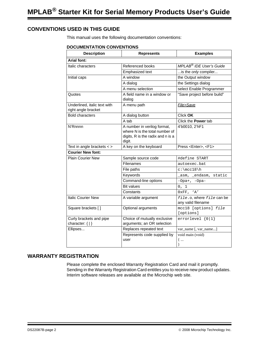# <span id="page-5-0"></span>**CONVENTIONS USED IN THIS GUIDE**

This manual uses the following documentation conventions:

#### **DOCUMENTATION CONVENTIONS**

| <b>Description</b>                                  | <b>Represents</b>                                                                                            | <b>Examples</b>                                 |  |
|-----------------------------------------------------|--------------------------------------------------------------------------------------------------------------|-------------------------------------------------|--|
| <b>Arial font:</b>                                  |                                                                                                              |                                                 |  |
| Italic characters                                   | Referenced books                                                                                             | MPLAB <sup>®</sup> IDE User's Guide             |  |
|                                                     | Emphasized text                                                                                              | is the only compiler                            |  |
| Initial caps                                        | A window                                                                                                     | the Output window                               |  |
|                                                     | A dialog                                                                                                     | the Settings dialog                             |  |
|                                                     | A menu selection                                                                                             | select Enable Programmer                        |  |
| Quotes                                              | A field name in a window or<br>dialog                                                                        | "Save project before build"                     |  |
| Underlined, italic text with<br>right angle bracket | A menu path                                                                                                  | File>Save                                       |  |
| <b>Bold characters</b>                              | A dialog button                                                                                              | Click OK                                        |  |
|                                                     | A tab                                                                                                        | Click the Power tab                             |  |
| N'Rnnnn                                             | A number in verilog format,<br>where N is the total number of<br>digits, R is the radix and n is a<br>digit. | 4'b0010, 2'hF1                                  |  |
| Text in angle brackets $\lt$ >                      | A key on the keyboard                                                                                        | Press <enter>, <f1></f1></enter>                |  |
| <b>Courier New font:</b>                            |                                                                                                              |                                                 |  |
| <b>Plain Courier New</b>                            | Sample source code                                                                                           | #define START                                   |  |
|                                                     | Filenames                                                                                                    | autoexec.bat                                    |  |
|                                                     | File paths                                                                                                   | $c:\mctan$                                      |  |
|                                                     | Keywords                                                                                                     | _asm, _endasm, static                           |  |
|                                                     | Command-line options                                                                                         | $-Opa+, -Opa-$                                  |  |
|                                                     | <b>Bit values</b>                                                                                            | 0, 1                                            |  |
|                                                     | Constants                                                                                                    | 0xFF, 'A'                                       |  |
| <b>Italic Courier New</b>                           | A variable argument                                                                                          | file.o, where file can be<br>any valid filename |  |
| Square brackets []                                  | Optional arguments                                                                                           | mcc18 [options] file<br>[options]               |  |
| Curly brackets and pipe<br>character: $\{   \}$     | Choice of mutually exclusive<br>arguments; an OR selection                                                   | errorlevel $\{0 1\}$                            |  |
| Ellipses                                            | Replaces repeated text                                                                                       | var_name [, var_name]                           |  |
|                                                     | Represents code supplied by<br>user                                                                          | void main (void)<br>∤…                          |  |

### <span id="page-5-1"></span>**WARRANTY REGISTRATION**

Please complete the enclosed Warranty Registration Card and mail it promptly. Sending in the Warranty Registration Card entitles you to receive new product updates. Interim software releases are available at the Microchip web site.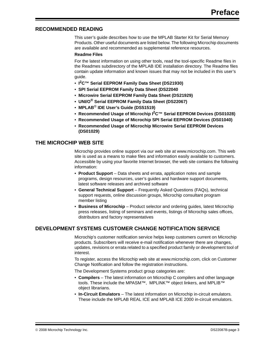### <span id="page-6-0"></span>**RECOMMENDED READING**

This user's guide describes how to use the MPLAB Starter Kit for Serial Memory Products. Other useful documents are listed below. The following Microchip documents are available and recommended as supplemental reference resources.

#### **Readme Files**

For the latest information on using other tools, read the tool-specific Readme files in the Readmes subdirectory of the MPLAB IDE installation directory. The Readme files contain update information and known issues that may not be included in this user's guide.

- **I 2C™ Serial EEPROM Family Data Sheet (DS21930)**
- **SPI Serial EEPROM Family Data Sheet (DS22040**
- **Microwire Serial EEPROM Family Data Sheet (DS21929)**
- **UNI/O® Serial EEPROM Family Data Sheet (DS22067)**
- **MPLAB**® **IDE User's Guide (DS51519)**
- **Recommended Usage of Microchip I2C™ Serial EEPROM Devices (DS01028)**
- **Recommended Usage of Microchip SPI Serial EEPROM Devices (DS01040)**
- **Recommended Usage of Microchip Microwire Serial EEPROM Devices (DS01029)**

### <span id="page-6-1"></span>**THE MICROCHIP WEB SITE**

Microchip provides online support via our web site at [www.microchip.com](http://www.microchip.com). This web site is used as a means to make files and information easily available to customers. Accessible by using your favorite Internet browser, the web site contains the following information:

- **Product Support** Data sheets and errata, application notes and sample programs, design resources, user's guides and hardware support documents, latest software releases and archived software
- **General Technical Support** Frequently Asked Questions (FAQs), technical support requests, online discussion groups, Microchip consultant program member listing
- **Business of Microchip** Product selector and ordering guides, latest Microchip press releases, listing of seminars and events, listings of Microchip sales offices, distributors and factory representatives

### <span id="page-6-2"></span>**DEVELOPMENT SYSTEMS CUSTOMER CHANGE NOTIFICATION SERVICE**

Microchip's customer notification service helps keep customers current on Microchip products. Subscribers will receive e-mail notification whenever there are changes, updates, revisions or errata related to a specified product family or development tool of interest.

To register, access the Microchip web site at [www.microchip.com,](http://www.microchip.com) click on Customer Change Notification and follow the registration instructions.

The Development Systems product group categories are:

- **Compilers** The latest information on Microchip C compilers and other language tools. These include the MPASM™, MPLINK™ object linkers, and MPLIB™ object librarians.
- **In-Circuit Emulators** The latest information on Microchip in-circuit emulators. These include the MPLAB REAL ICE and MPLAB ICE 2000 in-circuit emulators.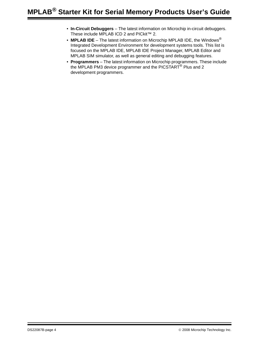- **In-Circuit Debuggers** The latest information on Microchip in-circuit debuggers. These include MPLAB ICD 2 and PICkit™ 2.
- **MPLAB IDE** The latest information on Microchip MPLAB IDE, the Windows<sup>®</sup> Integrated Development Environment for development systems tools. This list is focused on the MPLAB IDE, MPLAB IDE Project Manager, MPLAB Editor and MPLAB SIM simulator, as well as general editing and debugging features.
- **Programmers** The latest information on Microchip programmers. These include the MPLAB PM3 device programmer and the PICSTART<sup>®</sup> Plus and 2 development programmers.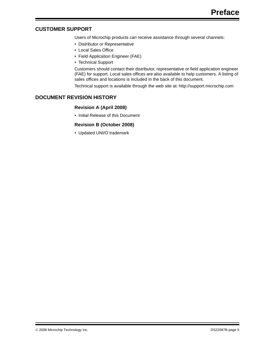# <span id="page-8-0"></span>**CUSTOMER SUPPORT**

Users of Microchip products can receive assistance through several channels:

- Distributor or Representative
- Local Sales Office
- Field Application Engineer (FAE)
- Technical Support

Customers should contact their distributor, representative or field application engineer (FAE) for support. Local sales offices are also available to help customers. A listing of sales offices and locations is included in the back of this document.

Technical support is available through the web site at:<http://support.microchip.com>

### <span id="page-8-1"></span>**DOCUMENT REVISION HISTORY**

#### **Revision A (April 2008)**

• Initial Release of this Document

#### **Revision B (October 2008)**

• Updated UNI/O trademark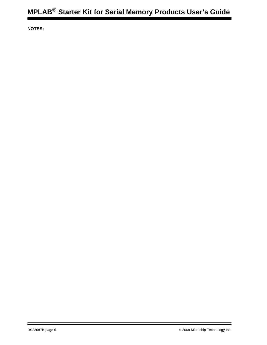**NOTES:**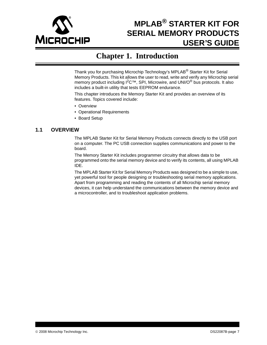<span id="page-10-0"></span>

# <span id="page-10-2"></span>**Chapter 1. Introduction**

Thank you for purchasing Microchip Technology's MPLAB<sup>®</sup> Starter Kit for Serial Memory Products. This kit allows the user to read, write and verify any Microchip serial memory product including  $I^2C^{TM}$ , SPI, Microwire, and UNI/O<sup>®</sup> bus protocols. It also includes a built-in utility that tests EEPROM endurance.

This chapter introduces the Memory Starter Kit and provides an overview of its features. Topics covered include:

- • [Overview](#page-10-1)
- • [Operational Requirements](#page-11-0)
- • [Board Setup](#page-11-1)

### <span id="page-10-1"></span>**1.1 OVERVIEW**

The MPLAB Starter Kit for Serial Memory Products connects directly to the USB port on a computer. The PC USB connection supplies communications and power to the board.

The Memory Starter Kit includes programmer circuitry that allows data to be programmed onto the serial memory device and to verify its contents, all using MPLAB IDE.

The MPLAB Starter Kit for Serial Memory Products was designed to be a simple to use, yet powerful tool for people designing or troubleshooting serial memory applications. Apart from programming and reading the contents of all Microchip serial memory devices, it can help understand the communications between the memory device and a microcontroller, and to troubleshoot application problems.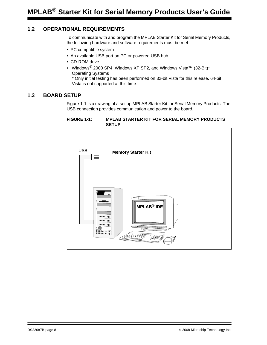# <span id="page-11-0"></span>**1.2 OPERATIONAL REQUIREMENTS**

To communicate with and program the MPLAB Starter Kit for Serial Memory Products, the following hardware and software requirements must be met:

- PC compatible system
- An available USB port on PC or powered USB hub
- CD-ROM drive
- Windows<sup>®</sup> 2000 SP4, Windows XP SP2, and Windows Vista™ (32-Bit)\* Operating Systems

\* Only initial testing has been performed on 32-bit Vista for this release. 64-bit Vista is not supported at this time.

### <span id="page-11-1"></span>**1.3 BOARD SETUP**

[Figure 1-1](#page-11-2) is a drawing of a set up MPLAB Starter Kit for Serial Memory Products. The USB connection provides communication and power to the board.

<span id="page-11-2"></span>**FIGURE 1-1: MPLAB STARTER KIT FOR SERIAL MEMORY PRODUCTS SETUP**

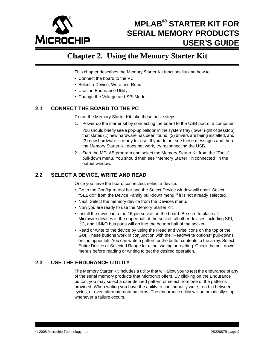

# <span id="page-12-4"></span><span id="page-12-0"></span>**Chapter 2. Using the Memory Starter Kit**

This chapter describes the Memory Starter Kit functionality and how to:

- • [Connect the board to the PC](#page-12-1)
- • [Select a Device, Write and Read](#page-12-2)
- • [Use the Endurance Utility](#page-12-3)
- • [Change the Voltage and SPI Mode](#page-13-0)

### <span id="page-12-1"></span>**2.1 CONNECT THE BOARD TO THE PC**

To run the Memory Starter Kit take these basic steps:

1. Power up the starter kit by connecting the board to the USB port of a computer.

You should briefly see a pop-up balloon in the system tray (lower right of desktop) that states (1) new hardware has been found, (2) drivers are being installed, and (3) new hardware is ready for use. If you do not see these messages and then the Memory Starter Kit does not work, try reconnecting the USB.

2. Start the MPLAB program and select the Memory Starter Kit from the "Tools" pull-down menu. You should then see "Memory Starter Kit connected" in the output window.

# <span id="page-12-2"></span>**2.2 SELECT A DEVICE, WRITE AND READ**

Once you have the board connected, select a device:

- Go to the Configure tool bar and the Select Device window will open. Select "SEExxx" from the Device Family pull-down menu if it is not already selected.
- Next, Select the memory device from the Devices menu.
- Now you are ready to use the Memory Starter Kit.
- Install the device into the 16-pin socket on the board. Be sure to place all Microwire devices in the upper half of the socket, all other devices including SPI, I<sup>2</sup>C, and UNI/O bus parts will go into the bottom half of the socket.
- Read or write to the device by using the Read and Write icons on the top of the GUI. These buttons work in conjunction with the "Read/Write options" pull-downs on the upper left. You can write a pattern or the buffer contents to the array. Select Entire Device or Selected Range for either writing or reading. Check the pull-down menus before reading or writing to get the desired operation.

# <span id="page-12-3"></span>**2.3 USE THE ENDURANCE UTILITY**

The Memory Starter Kit includes a utility that will allow you to test the endurance of any of the serial memory products that Microchip offers. By clicking on the Endurance button, you may select a user defined pattern or select from one of the patterns provided. When writing you have the ability to continuously write, read in between cycles, or even alternate data patterns. The endurance utility will automatically stop whenever a failure occurs.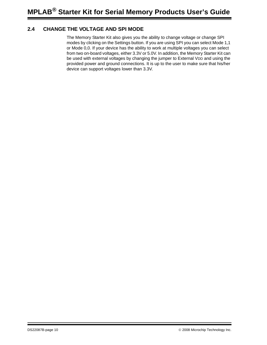# <span id="page-13-0"></span>**2.4 CHANGE THE VOLTAGE AND SPI MODE**

The Memory Starter Kit also gives you the ability to change voltage or change SPI modes by clicking on the Settings button. If you are using SPI you can select Mode 1,1 or Mode 0,0. If your device has the ability to work at multiple voltages you can select from two on-board voltages, either 3.3V or 5.0V. In addition, the Memory Starter Kit can be used with external voltages by changing the jumper to External VDD and using the provided power and ground connections. It is up to the user to make sure that his/her device can support voltages lower than 3.3V.